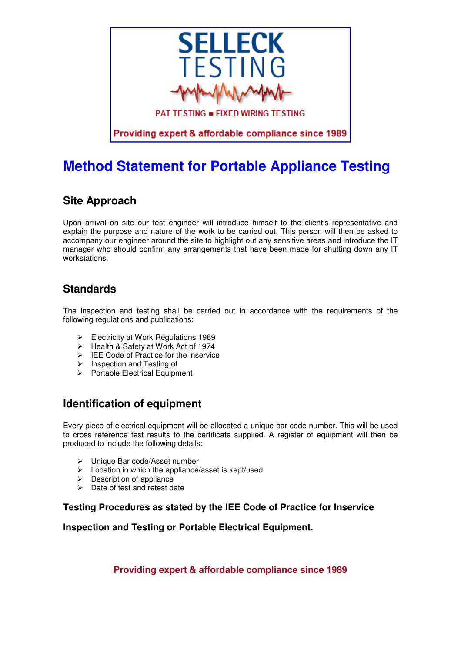

# **Method Statement for Portable Appliance Testing**

## **Site Approach**

Upon arrival on site our test engineer will introduce himself to the client's representative and explain the purpose and nature of the work to be carried out. This person will then be asked to accompany our engineer around the site to highlight out any sensitive areas and introduce the IT manager who should confirm any arrangements that have been made for shutting down any IT workstations.

## **Standards**

The inspection and testing shall be carried out in accordance with the requirements of the following regulations and publications:

- Electricity at Work Regulations 1989
- Health & Safety at Work Act of 1974
- $\triangleright$  IEE Code of Practice for the inservice
- $\triangleright$  Inspection and Testing of
- $\triangleright$  Portable Electrical Equipment

## **Identification of equipment**

Every piece of electrical equipment will be allocated a unique bar code number. This will be used to cross reference test results to the certificate supplied. A register of equipment will then be produced to include the following details:

- Unique Bar code/Asset number
- $\triangleright$  Location in which the appliance/asset is kept/used
- $\triangleright$  Description of appliance
- $\triangleright$  Date of test and retest date

#### **Testing Procedures as stated by the IEE Code of Practice for Inservice**

**Inspection and Testing or Portable Electrical Equipment.**

**Providing expert & affordable compliance since 1989**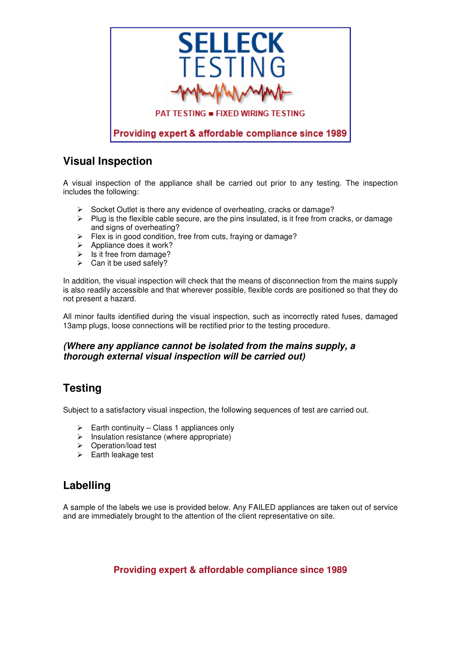

### **Visual Inspection**

A visual inspection of the appliance shall be carried out prior to any testing. The inspection includes the following:

- $\triangleright$  Socket Outlet is there any evidence of overheating, cracks or damage?
- $\triangleright$  Plug is the flexible cable secure, are the pins insulated, is it free from cracks, or damage and signs of overheating?
- $\triangleright$  Flex is in good condition, free from cuts, fraying or damage?
- $\triangleright$  Appliance does it work?
- $\triangleright$  Is it free from damage?
- $\triangleright$  Can it be used safely?

In addition, the visual inspection will check that the means of disconnection from the mains supply is also readily accessible and that wherever possible, flexible cords are positioned so that they do not present a hazard.

All minor faults identified during the visual inspection, such as incorrectly rated fuses, damaged 13amp plugs, loose connections will be rectified prior to the testing procedure.

#### **(Where any appliance cannot be isolated from the mains supply, a thorough external visual inspection will be carried out)**

### **Testing**

Subject to a satisfactory visual inspection, the following sequences of test are carried out.

- $\triangleright$  Earth continuity Class 1 appliances only
- $\triangleright$  Insulation resistance (where appropriate)
- Operation/load test
- $\triangleright$  Earth leakage test

## **Labelling**

A sample of the labels we use is provided below. Any FAILED appliances are taken out of service and are immediately brought to the attention of the client representative on site.

**Providing expert & affordable compliance since 1989**